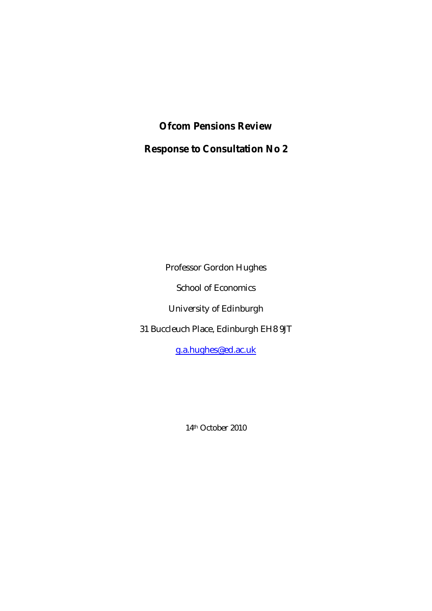**Ofcom Pensions Review Response to Consultation No 2** 

Professor Gordon Hughes

School of Economics

University of Edinburgh

31 Buccleuch Place, Edinburgh EH8 9JT

g.a.hughes@ed.ac.uk

14th October 2010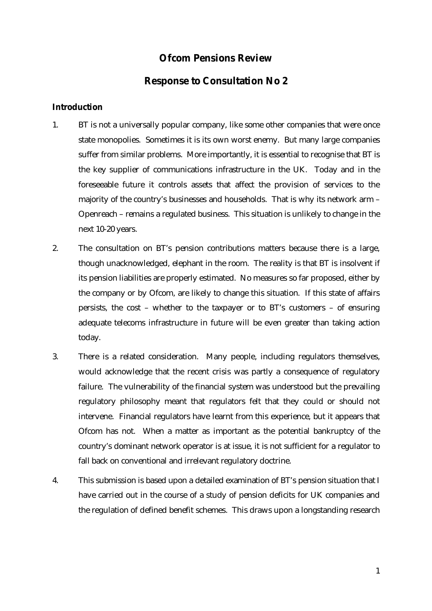# **Ofcom Pensions Review**

## **Response to Consultation No 2**

### **Introduction**

- 1. BT is not a universally popular company, like some other companies that were once state monopolies. Sometimes it is its own worst enemy. But many large companies suffer from similar problems. More importantly, it is essential to recognise that BT is the key supplier of communications infrastructure in the UK. Today and in the foreseeable future it controls assets that affect the provision of services to the majority of the country's businesses and households. That is why its network arm – Openreach – remains a regulated business. This situation is unlikely to change in the next 10-20 years.
- 2. The consultation on BT's pension contributions matters because there is a large, though unacknowledged, elephant in the room. The reality is that BT is insolvent if its pension liabilities are properly estimated. No measures so far proposed, either by the company or by Ofcom, are likely to change this situation. If this state of affairs persists, the cost – whether to the taxpayer or to BT's customers – of ensuring adequate telecoms infrastructure in future will be even greater than taking action today.
- 3. There is a related consideration. Many people, including regulators themselves, would acknowledge that the recent crisis was partly a consequence of regulatory failure. The vulnerability of the financial system was understood but the prevailing regulatory philosophy meant that regulators felt that they could or should not intervene. Financial regulators have learnt from this experience, but it appears that Ofcom has not. When a matter as important as the potential bankruptcy of the country's dominant network operator is at issue, it is not sufficient for a regulator to fall back on conventional and irrelevant regulatory doctrine.
- 4. This submission is based upon a detailed examination of BT's pension situation that I have carried out in the course of a study of pension deficits for UK companies and the regulation of defined benefit schemes. This draws upon a longstanding research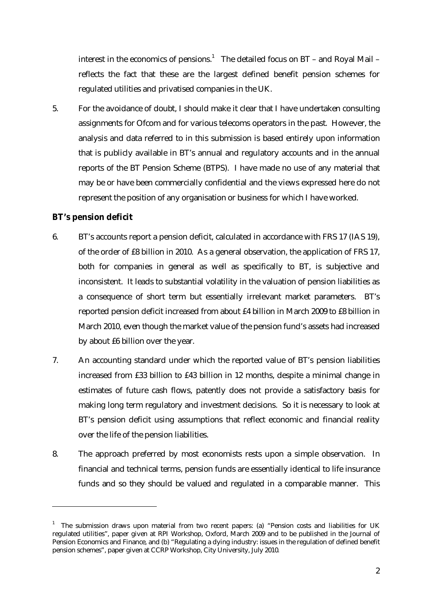interest in the economics of pensions.<sup>1</sup> The detailed focus on BT – and Royal Mail – reflects the fact that these are the largest defined benefit pension schemes for regulated utilities and privatised companies in the UK.

5. For the avoidance of doubt, I should make it clear that I have undertaken consulting assignments for Ofcom and for various telecoms operators in the past. However, the analysis and data referred to in this submission is based entirely upon information that is publicly available in BT's annual and regulatory accounts and in the annual reports of the BT Pension Scheme (BTPS). I have made no use of any material that may be or have been commercially confidential and the views expressed here do not represent the position of any organisation or business for which I have worked.

## **BT's pension deficit**

<u>.</u>

- 6. BT's accounts report a pension deficit, calculated in accordance with FRS 17 (IAS 19), of the order of £8 billion in 2010. As a general observation, the application of FRS 17, both for companies in general as well as specifically to BT, is subjective and inconsistent. It leads to substantial volatility in the valuation of pension liabilities as a consequence of short term but essentially irrelevant market parameters. BT's reported pension deficit increased from about £4 billion in March 2009 to £8 billion in March 2010, even though the market value of the pension fund's assets had increased by about £6 billion over the year.
- 7. An accounting standard under which the reported value of BT's pension liabilities increased from £33 billion to £43 billion in 12 months, despite a minimal change in estimates of future cash flows, patently does not provide a satisfactory basis for making long term regulatory and investment decisions. So it is necessary to look at BT's pension deficit using assumptions that reflect economic and financial reality over the life of the pension liabilities.
- 8. The approach preferred by most economists rests upon a simple observation. In financial and technical terms, pension funds are essentially identical to life insurance funds and so they should be valued and regulated in a comparable manner. This

<sup>&</sup>lt;sup>1</sup> The submission draws upon material from two recent papers: (a) "Pension costs and liabilities for UK regulated utilities", paper given at RPI Workshop, Oxford, March 2009 and to be published in the Journal of Pension Economics and Finance, and (b) "Regulating a dying industry: issues in the regulation of defined benefit pension schemes", paper given at CCRP Workshop, City University, July 2010.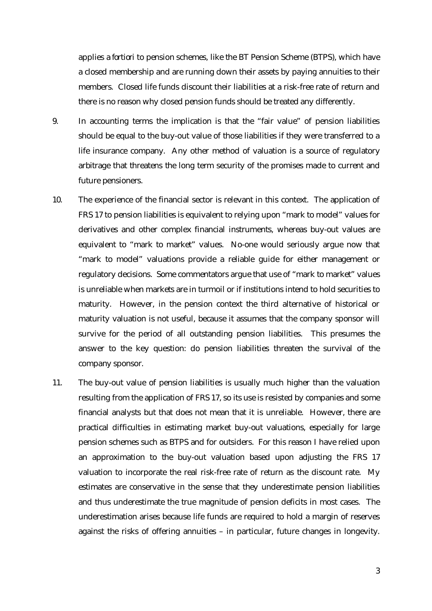applies *a fortiori* to pension schemes, like the BT Pension Scheme (BTPS), which have a closed membership and are running down their assets by paying annuities to their members. Closed life funds discount their liabilities at a risk-free rate of return and there is no reason why closed pension funds should be treated any differently.

- 9. In accounting terms the implication is that the "fair value" of pension liabilities should be equal to the buy-out value of those liabilities if they were transferred to a life insurance company. Any other method of valuation is a source of regulatory arbitrage that threatens the long term security of the promises made to current and future pensioners.
- 10. The experience of the financial sector is relevant in this context. The application of FRS 17 to pension liabilities is equivalent to relying upon "mark to model" values for derivatives and other complex financial instruments, whereas buy-out values are equivalent to "mark to market" values. No-one would seriously argue now that "mark to model" valuations provide a reliable guide for either management or regulatory decisions. Some commentators argue that use of "mark to market" values is unreliable when markets are in turmoil or if institutions intend to hold securities to maturity. However, in the pension context the third alternative of historical or maturity valuation is not useful, because it assumes that the company sponsor will survive for the period of all outstanding pension liabilities. This presumes the answer to the key question: do pension liabilities threaten the survival of the company sponsor.
- 11. The buy-out value of pension liabilities is usually much higher than the valuation resulting from the application of FRS 17, so its use is resisted by companies and some financial analysts but that does not mean that it is unreliable. However, there are practical difficulties in estimating market buy-out valuations, especially for large pension schemes such as BTPS and for outsiders. For this reason I have relied upon an approximation to the buy-out valuation based upon adjusting the FRS 17 valuation to incorporate the real risk-free rate of return as the discount rate. My estimates are conservative in the sense that they underestimate pension liabilities and thus underestimate the true magnitude of pension deficits in most cases. The underestimation arises because life funds are required to hold a margin of reserves against the risks of offering annuities – in particular, future changes in longevity.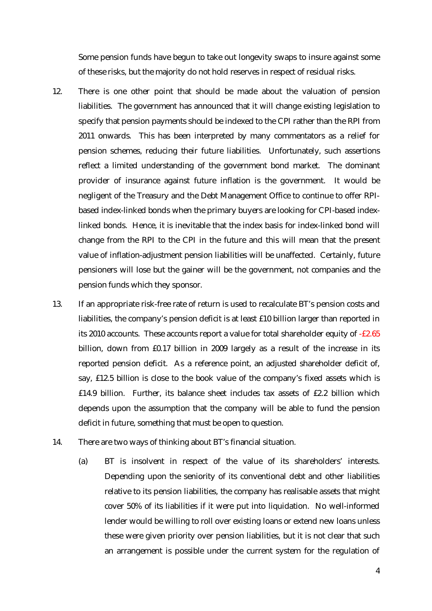Some pension funds have begun to take out longevity swaps to insure against some of these risks, but the majority do not hold reserves in respect of residual risks.

- 12. There is one other point that should be made about the valuation of pension liabilities. The government has announced that it will change existing legislation to specify that pension payments should be indexed to the CPI rather than the RPI from 2011 onwards. This has been interpreted by many commentators as a relief for pension schemes, reducing their future liabilities. Unfortunately, such assertions reflect a limited understanding of the government bond market. The dominant provider of insurance against future inflation is the government. It would be negligent of the Treasury and the Debt Management Office to continue to offer RPIbased index-linked bonds when the primary buyers are looking for CPI-based indexlinked bonds. Hence, it is inevitable that the index basis for index-linked bond will change from the RPI to the CPI in the future and this will mean that the present value of inflation-adjustment pension liabilities will be unaffected. Certainly, future pensioners will lose but the gainer will be the government, not companies and the pension funds which they sponsor.
- 13. If an appropriate risk-free rate of return is used to recalculate BT's pension costs and liabilities, the company's pension deficit is at least £10 billion larger than reported in its 2010 accounts. These accounts report a value for total shareholder equity of -£2.65 billion, down from £0.17 billion in 2009 largely as a result of the increase in its reported pension deficit. As a reference point, an adjusted shareholder deficit of, say, £12.5 billion is close to the book value of the company's fixed assets which is £14.9 billion. Further, its balance sheet includes tax assets of £2.2 billion which depends upon the assumption that the company will be able to fund the pension deficit in future, something that must be open to question.
- 14. There are two ways of thinking about BT's financial situation.
	- (a) BT is insolvent in respect of the value of its shareholders' interests. Depending upon the seniority of its conventional debt and other liabilities relative to its pension liabilities, the company has realisable assets that might cover 50% of its liabilities if it were put into liquidation. No well-informed lender would be willing to roll over existing loans or extend new loans unless these were given priority over pension liabilities, but it is not clear that such an arrangement is possible under the current system for the regulation of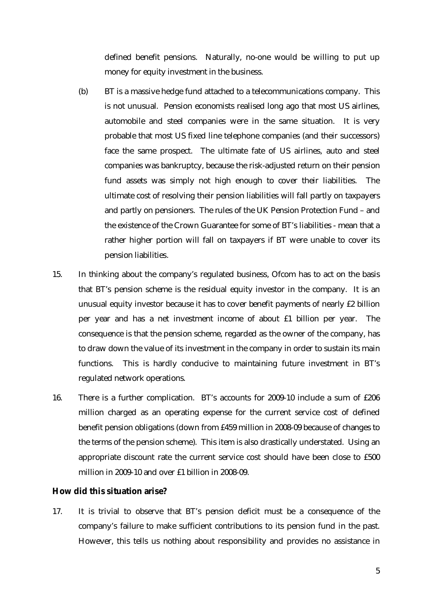defined benefit pensions. Naturally, no-one would be willing to put up money for equity investment in the business.

- (b) BT is a massive hedge fund attached to a telecommunications company. This is not unusual. Pension economists realised long ago that most US airlines, automobile and steel companies were in the same situation. It is very probable that most US fixed line telephone companies (and their successors) face the same prospect. The ultimate fate of US airlines, auto and steel companies was bankruptcy, because the risk-adjusted return on their pension fund assets was simply not high enough to cover their liabilities. The ultimate cost of resolving their pension liabilities will fall partly on taxpayers and partly on pensioners. The rules of the UK Pension Protection Fund – and the existence of the Crown Guarantee for some of BT's liabilities - mean that a rather higher portion will fall on taxpayers if BT were unable to cover its pension liabilities.
- 15. In thinking about the company's regulated business, Ofcom has to act on the basis that BT's pension scheme is the residual equity investor in the company. It is an unusual equity investor because it has to cover benefit payments of nearly £2 billion per year and has a net investment income of about £1 billion per year. The consequence is that the pension scheme, regarded as the owner of the company, has to draw down the value of its investment in the company in order to sustain its main functions. This is hardly conducive to maintaining future investment in BT's regulated network operations.
- 16. There is a further complication. BT's accounts for 2009-10 include a sum of £206 million charged as an operating expense for the current service cost of defined benefit pension obligations (down from £459 million in 2008-09 because of changes to the terms of the pension scheme). This item is also drastically understated. Using an appropriate discount rate the current service cost should have been close to £500 million in 2009-10 and over £1 billion in 2008-09.

#### **How did this situation arise?**

17. It is trivial to observe that BT's pension deficit must be a consequence of the company's failure to make sufficient contributions to its pension fund in the past. However, this tells us nothing about responsibility and provides no assistance in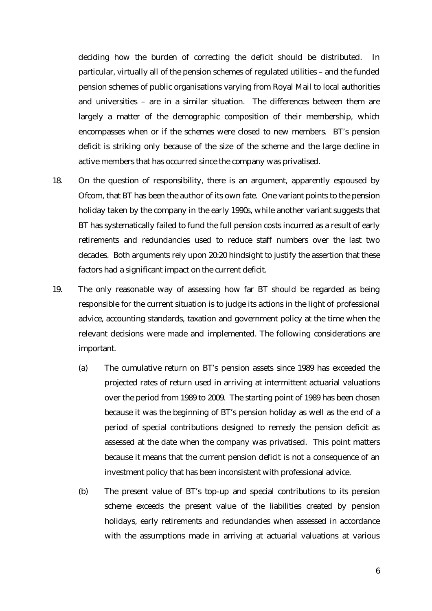deciding how the burden of correcting the deficit should be distributed. In particular, virtually all of the pension schemes of regulated utilities – and the funded pension schemes of public organisations varying from Royal Mail to local authorities and universities – are in a similar situation. The differences between them are largely a matter of the demographic composition of their membership, which encompasses when or if the schemes were closed to new members. BT's pension deficit is striking only because of the size of the scheme and the large decline in active members that has occurred since the company was privatised.

- 18. On the question of responsibility, there is an argument, apparently espoused by Ofcom, that BT has been the author of its own fate. One variant points to the pension holiday taken by the company in the early 1990s, while another variant suggests that BT has systematically failed to fund the full pension costs incurred as a result of early retirements and redundancies used to reduce staff numbers over the last two decades. Both arguments rely upon 20:20 hindsight to justify the assertion that these factors had a significant impact on the current deficit.
- 19. The only reasonable way of assessing how far BT should be regarded as being responsible for the current situation is to judge its actions in the light of professional advice, accounting standards, taxation and government policy at the time when the relevant decisions were made and implemented. The following considerations are important.
	- (a) The cumulative return on BT's pension assets since 1989 has exceeded the projected rates of return used in arriving at intermittent actuarial valuations over the period from 1989 to 2009. The starting point of 1989 has been chosen because it was the beginning of BT's pension holiday as well as the end of a period of special contributions designed to remedy the pension deficit as assessed at the date when the company was privatised. This point matters because it means that the current pension deficit is not a consequence of an investment policy that has been inconsistent with professional advice.
	- (b) The present value of BT's top-up and special contributions to its pension scheme exceeds the present value of the liabilities created by pension holidays, early retirements and redundancies when assessed in accordance with the assumptions made in arriving at actuarial valuations at various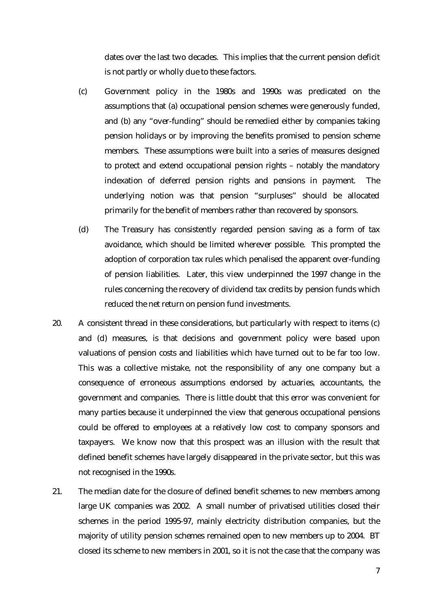dates over the last two decades. This implies that the current pension deficit is not partly or wholly due to these factors.

- (c) Government policy in the 1980s and 1990s was predicated on the assumptions that (a) occupational pension schemes were generously funded, and (b) any "over-funding" should be remedied either by companies taking pension holidays or by improving the benefits promised to pension scheme members. These assumptions were built into a series of measures designed to protect and extend occupational pension rights – notably the mandatory indexation of deferred pension rights and pensions in payment. The underlying notion was that pension "surpluses" should be allocated primarily for the benefit of members rather than recovered by sponsors.
- (d) The Treasury has consistently regarded pension saving as a form of tax avoidance, which should be limited wherever possible. This prompted the adoption of corporation tax rules which penalised the apparent over-funding of pension liabilities. Later, this view underpinned the 1997 change in the rules concerning the recovery of dividend tax credits by pension funds which reduced the net return on pension fund investments.
- 20. A consistent thread in these considerations, but particularly with respect to items (c) and (d) measures, is that decisions and government policy were based upon valuations of pension costs and liabilities which have turned out to be far too low. This was a collective mistake, not the responsibility of any one company but a consequence of erroneous assumptions endorsed by actuaries, accountants, the government and companies. There is little doubt that this error was convenient for many parties because it underpinned the view that generous occupational pensions could be offered to employees at a relatively low cost to company sponsors and taxpayers. We know now that this prospect was an illusion with the result that defined benefit schemes have largely disappeared in the private sector, but this was not recognised in the 1990s.
- 21. The median date for the closure of defined benefit schemes to new members among large UK companies was 2002. A small number of privatised utilities closed their schemes in the period 1995-97, mainly electricity distribution companies, but the majority of utility pension schemes remained open to new members up to 2004. BT closed its scheme to new members in 2001, so it is not the case that the company was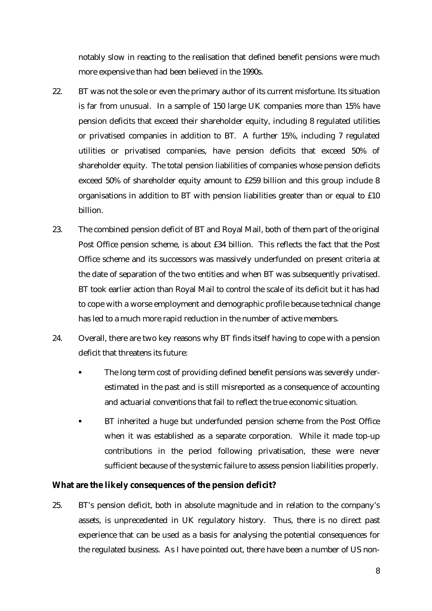notably slow in reacting to the realisation that defined benefit pensions were much more expensive than had been believed in the 1990s.

- 22. BT was not the sole or even the primary author of its current misfortune. Its situation is far from unusual. In a sample of 150 large UK companies more than 15% have pension deficits that exceed their shareholder equity, including 8 regulated utilities or privatised companies in addition to BT. A further 15%, including 7 regulated utilities or privatised companies, have pension deficits that exceed 50% of shareholder equity. The total pension liabilities of companies whose pension deficits exceed 50% of shareholder equity amount to £259 billion and this group include 8 organisations in addition to BT with pension liabilities greater than or equal to £10 billion.
- 23. The combined pension deficit of BT and Royal Mail, both of them part of the original Post Office pension scheme, is about £34 billion. This reflects the fact that the Post Office scheme and its successors was massively underfunded on present criteria at the date of separation of the two entities and when BT was subsequently privatised. BT took earlier action than Royal Mail to control the scale of its deficit but it has had to cope with a worse employment and demographic profile because technical change has led to a much more rapid reduction in the number of active members.
- 24. Overall, there are two key reasons why BT finds itself having to cope with a pension deficit that threatens its future:
	- The long term cost of providing defined benefit pensions was severely underestimated in the past and is still misreported as a consequence of accounting and actuarial conventions that fail to reflect the true economic situation.
	- BT inherited a huge but underfunded pension scheme from the Post Office when it was established as a separate corporation. While it made top-up contributions in the period following privatisation, these were never sufficient because of the systemic failure to assess pension liabilities properly.

**What are the likely consequences of the pension deficit?** 

25. BT's pension deficit, both in absolute magnitude and in relation to the company's assets, is unprecedented in UK regulatory history. Thus, there is no direct past experience that can be used as a basis for analysing the potential consequences for the regulated business. As I have pointed out, there have been a number of US non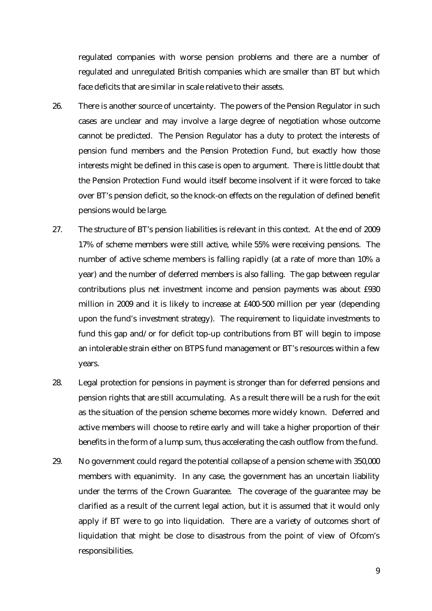regulated companies with worse pension problems and there are a number of regulated and unregulated British companies which are smaller than BT but which face deficits that are similar in scale relative to their assets.

- 26. There is another source of uncertainty. The powers of the Pension Regulator in such cases are unclear and may involve a large degree of negotiation whose outcome cannot be predicted. The Pension Regulator has a duty to protect the interests of pension fund members and the Pension Protection Fund, but exactly how those interests might be defined in this case is open to argument. There is little doubt that the Pension Protection Fund would itself become insolvent if it were forced to take over BT's pension deficit, so the knock-on effects on the regulation of defined benefit pensions would be large.
- 27. The structure of BT's pension liabilities is relevant in this context. At the end of 2009 17% of scheme members were still active, while 55% were receiving pensions. The number of active scheme members is falling rapidly (at a rate of more than 10% a year) and the number of deferred members is also falling. The gap between regular contributions plus net investment income and pension payments was about £930 million in 2009 and it is likely to increase at £400-500 million per year (depending upon the fund's investment strategy). The requirement to liquidate investments to fund this gap and/or for deficit top-up contributions from BT will begin to impose an intolerable strain either on BTPS fund management or BT's resources within a few years.
- 28. Legal protection for pensions in payment is stronger than for deferred pensions and pension rights that are still accumulating. As a result there will be a rush for the exit as the situation of the pension scheme becomes more widely known. Deferred and active members will choose to retire early and will take a higher proportion of their benefits in the form of a lump sum, thus accelerating the cash outflow from the fund.
- 29. No government could regard the potential collapse of a pension scheme with 350,000 members with equanimity. In any case, the government has an uncertain liability under the terms of the Crown Guarantee. The coverage of the guarantee may be clarified as a result of the current legal action, but it is assumed that it would only apply if BT were to go into liquidation. There are a variety of outcomes short of liquidation that might be close to disastrous from the point of view of Ofcom's responsibilities.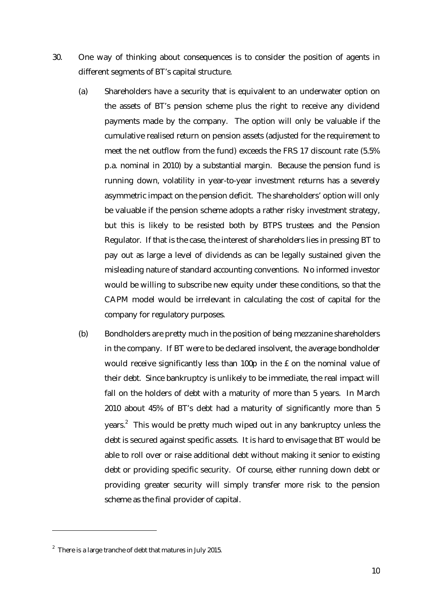- 30. One way of thinking about consequences is to consider the position of agents in different segments of BT's capital structure.
	- (a) Shareholders have a security that is equivalent to an underwater option on the assets of BT's pension scheme plus the right to receive any dividend payments made by the company. The option will only be valuable if the cumulative realised return on pension assets (adjusted for the requirement to meet the net outflow from the fund) exceeds the FRS 17 discount rate (5.5% p.a. nominal in 2010) by a substantial margin. Because the pension fund is running down, volatility in year-to-year investment returns has a severely asymmetric impact on the pension deficit. The shareholders' option will only be valuable if the pension scheme adopts a rather risky investment strategy, but this is likely to be resisted both by BTPS trustees and the Pension Regulator. If that is the case, the interest of shareholders lies in pressing BT to pay out as large a level of dividends as can be legally sustained given the misleading nature of standard accounting conventions. No informed investor would be willing to subscribe new equity under these conditions, so that the CAPM model would be irrelevant in calculating the cost of capital for the company for regulatory purposes.
	- (b) Bondholders are pretty much in the position of being mezzanine shareholders in the company. If BT were to be declared insolvent, the average bondholder would receive significantly less than 100p in the £ on the nominal value of their debt. Since bankruptcy is unlikely to be immediate, the real impact will fall on the holders of debt with a maturity of more than 5 years. In March 2010 about 45% of BT's debt had a maturity of significantly more than 5 years.<sup>2</sup> This would be pretty much wiped out in any bankruptcy unless the debt is secured against specific assets. It is hard to envisage that BT would be able to roll over or raise additional debt without making it senior to existing debt or providing specific security. Of course, either running down debt or providing greater security will simply transfer more risk to the pension scheme as the final provider of capital.

<u>.</u>

 $2$  There is a large tranche of debt that matures in July 2015.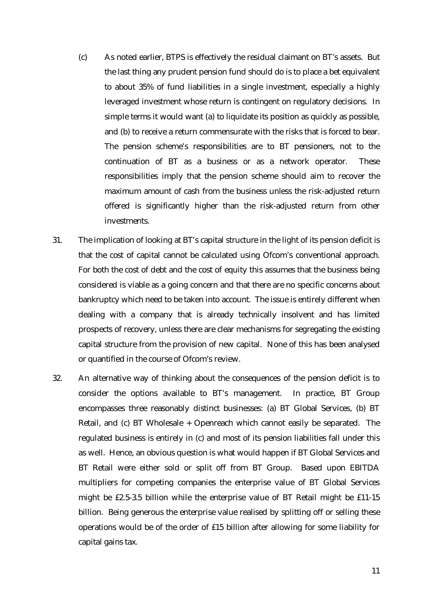- (c) As noted earlier, BTPS is effectively the residual claimant on BT's assets. But the last thing any prudent pension fund should do is to place a bet equivalent to about 35% of fund liabilities in a single investment, especially a highly leveraged investment whose return is contingent on regulatory decisions. In simple terms it would want (a) to liquidate its position as quickly as possible, and (b) to receive a return commensurate with the risks that is forced to bear. The pension scheme's responsibilities are to BT pensioners, not to the continuation of BT as a business or as a network operator. These responsibilities imply that the pension scheme should aim to recover the maximum amount of cash from the business unless the risk-adjusted return offered is significantly higher than the risk-adjusted return from other investments.
- 31. The implication of looking at BT's capital structure in the light of its pension deficit is that the cost of capital cannot be calculated using Ofcom's conventional approach. For both the cost of debt and the cost of equity this assumes that the business being considered is viable as a going concern and that there are no specific concerns about bankruptcy which need to be taken into account. The issue is entirely different when dealing with a company that is already technically insolvent and has limited prospects of recovery, unless there are clear mechanisms for segregating the existing capital structure from the provision of new capital. None of this has been analysed or quantified in the course of Ofcom's review.
- 32. An alternative way of thinking about the consequences of the pension deficit is to consider the options available to BT's management. In practice, BT Group encompasses three reasonably distinct businesses: (a) BT Global Services, (b) BT Retail, and (c) BT Wholesale + Openreach which cannot easily be separated. The regulated business is entirely in (c) and most of its pension liabilities fall under this as well. Hence, an obvious question is what would happen if BT Global Services and BT Retail were either sold or split off from BT Group. Based upon EBITDA multipliers for competing companies the enterprise value of BT Global Services might be £2.5-3.5 billion while the enterprise value of BT Retail might be £11-15 billion. Being generous the enterprise value realised by splitting off or selling these operations would be of the order of £15 billion after allowing for some liability for capital gains tax.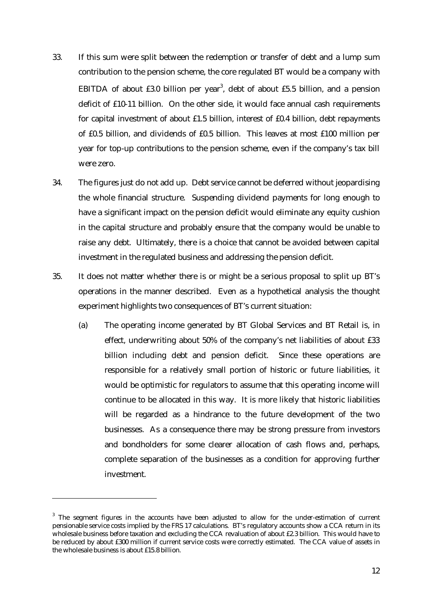- 33. If this sum were split between the redemption or transfer of debt and a lump sum contribution to the pension scheme, the core regulated BT would be a company with EBITDA of about  $£3.0$  billion per year<sup>3</sup>, debt of about  $£5.5$  billion, and a pension deficit of £10-11 billion. On the other side, it would face annual cash requirements for capital investment of about £1.5 billion, interest of £0.4 billion, debt repayments of £0.5 billion, and dividends of £0.5 billion. This leaves at most £100 million per year for top-up contributions to the pension scheme, even if the company's tax bill were zero.
- 34. The figures just do not add up. Debt service cannot be deferred without jeopardising the whole financial structure. Suspending dividend payments for long enough to have a significant impact on the pension deficit would eliminate any equity cushion in the capital structure and probably ensure that the company would be unable to raise any debt. Ultimately, there is a choice that cannot be avoided between capital investment in the regulated business and addressing the pension deficit.
- 35. It does not matter whether there is or might be a serious proposal to split up BT's operations in the manner described. Even as a hypothetical analysis the thought experiment highlights two consequences of BT's current situation:
	- (a) The operating income generated by BT Global Services and BT Retail is, in effect, underwriting about 50% of the company's net liabilities of about £33 billion including debt and pension deficit. Since these operations are responsible for a relatively small portion of historic or future liabilities, it would be optimistic for regulators to assume that this operating income will continue to be allocated in this way. It is more likely that historic liabilities will be regarded as a hindrance to the future development of the two businesses. As a consequence there may be strong pressure from investors and bondholders for some clearer allocation of cash flows and, perhaps, complete separation of the businesses as a condition for approving further investment.

<u>.</u>

 $3$  The segment figures in the accounts have been adjusted to allow for the under-estimation of current pensionable service costs implied by the FRS 17 calculations. BT's regulatory accounts show a CCA return in its wholesale business before taxation and excluding the CCA revaluation of about £2.3 billion. This would have to be reduced by about £300 million if current service costs were correctly estimated. The CCA value of assets in the wholesale business is about £15.8 billion.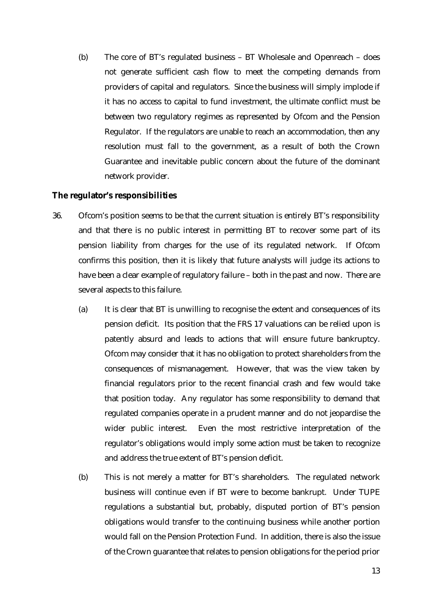(b) The core of BT's regulated business – BT Wholesale and Openreach – does not generate sufficient cash flow to meet the competing demands from providers of capital and regulators. Since the business will simply implode if it has no access to capital to fund investment, the ultimate conflict must be between two regulatory regimes as represented by Ofcom and the Pension Regulator. If the regulators are unable to reach an accommodation, then any resolution must fall to the government, as a result of both the Crown Guarantee and inevitable public concern about the future of the dominant network provider.

## **The regulator's responsibilities**

- 36. Ofcom's position seems to be that the current situation is entirely BT's responsibility and that there is no public interest in permitting BT to recover some part of its pension liability from charges for the use of its regulated network. If Ofcom confirms this position, then it is likely that future analysts will judge its actions to have been a clear example of regulatory failure – both in the past and now. There are several aspects to this failure.
	- (a) It is clear that BT is unwilling to recognise the extent and consequences of its pension deficit. Its position that the FRS 17 valuations can be relied upon is patently absurd and leads to actions that will ensure future bankruptcy. Ofcom may consider that it has no obligation to protect shareholders from the consequences of mismanagement. However, that was the view taken by financial regulators prior to the recent financial crash and few would take that position today. Any regulator has some responsibility to demand that regulated companies operate in a prudent manner and do not jeopardise the wider public interest. Even the most restrictive interpretation of the regulator's obligations would imply some action must be taken to recognize and address the true extent of BT's pension deficit.
	- (b) This is not merely a matter for BT's shareholders. The regulated network business will continue even if BT were to become bankrupt. Under TUPE regulations a substantial but, probably, disputed portion of BT's pension obligations would transfer to the continuing business while another portion would fall on the Pension Protection Fund. In addition, there is also the issue of the Crown guarantee that relates to pension obligations for the period prior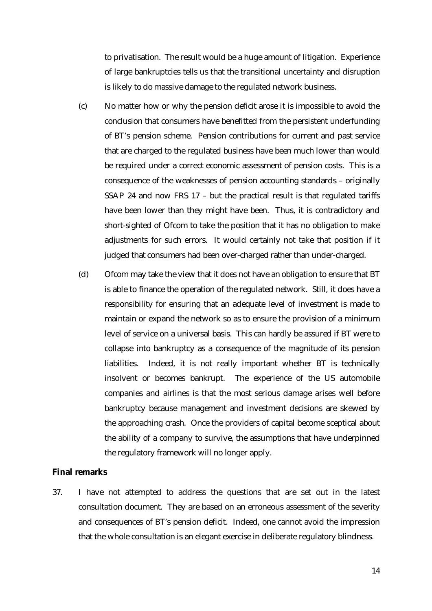to privatisation. The result would be a huge amount of litigation. Experience of large bankruptcies tells us that the transitional uncertainty and disruption is likely to do massive damage to the regulated network business.

- (c) No matter how or why the pension deficit arose it is impossible to avoid the conclusion that consumers have benefitted from the persistent underfunding of BT's pension scheme. Pension contributions for current and past service that are charged to the regulated business have been much lower than would be required under a correct economic assessment of pension costs. This is a consequence of the weaknesses of pension accounting standards – originally SSAP 24 and now FRS 17 – but the practical result is that regulated tariffs have been lower than they might have been. Thus, it is contradictory and short-sighted of Ofcom to take the position that it has no obligation to make adjustments for such errors. It would certainly not take that position if it judged that consumers had been over-charged rather than under-charged.
- (d) Ofcom may take the view that it does not have an obligation to ensure that BT is able to finance the operation of the regulated network. Still, it does have a responsibility for ensuring that an adequate level of investment is made to maintain or expand the network so as to ensure the provision of a minimum level of service on a universal basis. This can hardly be assured if BT were to collapse into bankruptcy as a consequence of the magnitude of its pension liabilities. Indeed, it is not really important whether BT is technically insolvent or becomes bankrupt. The experience of the US automobile companies and airlines is that the most serious damage arises well before bankruptcy because management and investment decisions are skewed by the approaching crash. Once the providers of capital become sceptical about the ability of a company to survive, the assumptions that have underpinned the regulatory framework will no longer apply.

#### **Final remarks**

37. I have not attempted to address the questions that are set out in the latest consultation document. They are based on an erroneous assessment of the severity and consequences of BT's pension deficit. Indeed, one cannot avoid the impression that the whole consultation is an elegant exercise in deliberate regulatory blindness.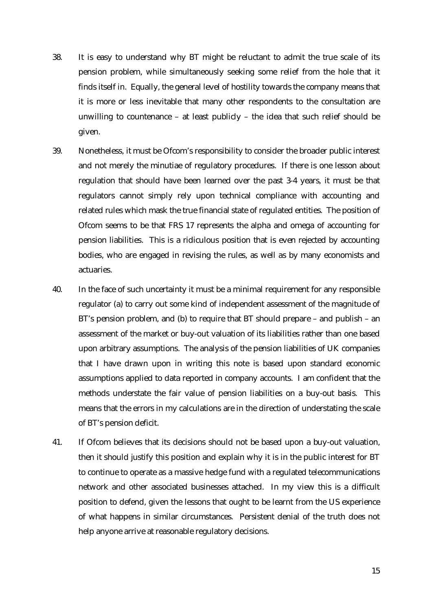- 38. It is easy to understand why BT might be reluctant to admit the true scale of its pension problem, while simultaneously seeking some relief from the hole that it finds itself in. Equally, the general level of hostility towards the company means that it is more or less inevitable that many other respondents to the consultation are unwilling to countenance – at least publicly – the idea that such relief should be given.
- 39. Nonetheless, it must be Ofcom's responsibility to consider the broader public interest and not merely the minutiae of regulatory procedures. If there is one lesson about regulation that should have been learned over the past 3-4 years, it must be that regulators cannot simply rely upon technical compliance with accounting and related rules which mask the true financial state of regulated entities. The position of Ofcom seems to be that FRS 17 represents the alpha and omega of accounting for pension liabilities. This is a ridiculous position that is even rejected by accounting bodies, who are engaged in revising the rules, as well as by many economists and actuaries.
- 40. In the face of such uncertainty it must be a minimal requirement for any responsible regulator (a) to carry out some kind of independent assessment of the magnitude of BT's pension problem, and (b) to require that BT should prepare – and publish – an assessment of the market or buy-out valuation of its liabilities rather than one based upon arbitrary assumptions. The analysis of the pension liabilities of UK companies that I have drawn upon in writing this note is based upon standard economic assumptions applied to data reported in company accounts. I am confident that the methods understate the fair value of pension liabilities on a buy-out basis. This means that the errors in my calculations are in the direction of understating the scale of BT's pension deficit.
- 41. If Ofcom believes that its decisions should not be based upon a buy-out valuation, then it should justify this position and explain why it is in the public interest for BT to continue to operate as a massive hedge fund with a regulated telecommunications network and other associated businesses attached. In my view this is a difficult position to defend, given the lessons that ought to be learnt from the US experience of what happens in similar circumstances. Persistent denial of the truth does not help anyone arrive at reasonable regulatory decisions.